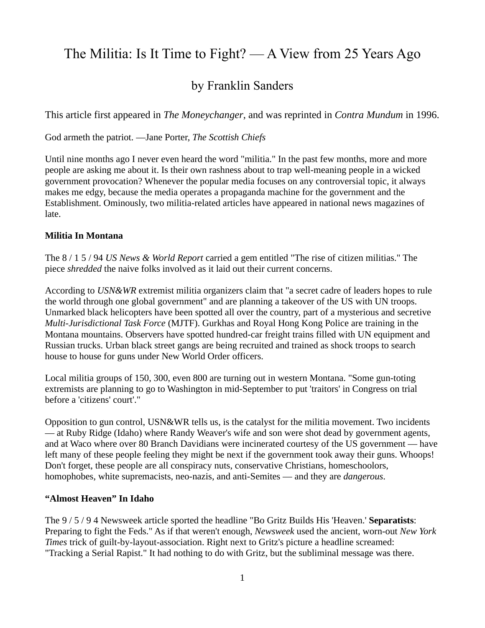# The Militia: Is It Time to Fight? — A View from 25 Years Ago

## by Franklin Sanders

This article first appeared in *The Moneychanger*, and was reprinted in *Contra Mundum* in 1996.

God armeth the patriot. —Jane Porter, *The Scottish Chiefs*

Until nine months ago I never even heard the word "militia." In the past few months, more and more people are asking me about it. Is their own rashness about to trap well-meaning people in a wicked government provocation? Whenever the popular media focuses on any controversial topic, it always makes me edgy, because the media operates a propaganda machine for the government and the Establishment. Ominously, two militia-related articles have appeared in national news magazines of late.

## **Militia In Montana**

The 8 / 1 5 / 94 *US News & World Report* carried a gem entitled "The rise of citizen militias." The piece *shredded* the naive folks involved as it laid out their current concerns.

According to *USN&WR* extremist militia organizers claim that "a secret cadre of leaders hopes to rule the world through one global government" and are planning a takeover of the US with UN troops. Unmarked black helicopters have been spotted all over the country, part of a mysterious and secretive *Multi-Jurisdictional Task Force* (MJTF). Gurkhas and Royal Hong Kong Police are training in the Montana mountains. Observers have spotted hundred-car freight trains filled with UN equipment and Russian trucks. Urban black street gangs are being recruited and trained as shock troops to search house to house for guns under New World Order officers.

Local militia groups of 150, 300, even 800 are turning out in western Montana. "Some gun-toting extremists are planning to go to Washington in mid-September to put 'traitors' in Congress on trial before a 'citizens' court'."

Opposition to gun control, USN&WR tells us, is the catalyst for the militia movement. Two incidents — at Ruby Ridge (Idaho) where Randy Weaver's wife and son were shot dead by government agents, and at Waco where over 80 Branch Davidians were incinerated courtesy of the US government — have left many of these people feeling they might be next if the government took away their guns. Whoops! Don't forget, these people are all conspiracy nuts, conservative Christians, homeschoolors, homophobes, white supremacists, neo-nazis, and anti-Semites — and they are *dangerous*.

## **"Almost Heaven" In Idaho**

The 9 / 5 / 9 4 Newsweek article sported the headline "Bo Gritz Builds His 'Heaven.' **Separatists**: Preparing to fight the Feds." As if that weren't enough, *Newsweek* used the ancient, worn-out *New York Times* trick of guilt-by-layout-association. Right next to Gritz's picture a headline screamed: "Tracking a Serial Rapist." It had nothing to do with Gritz, but the subliminal message was there.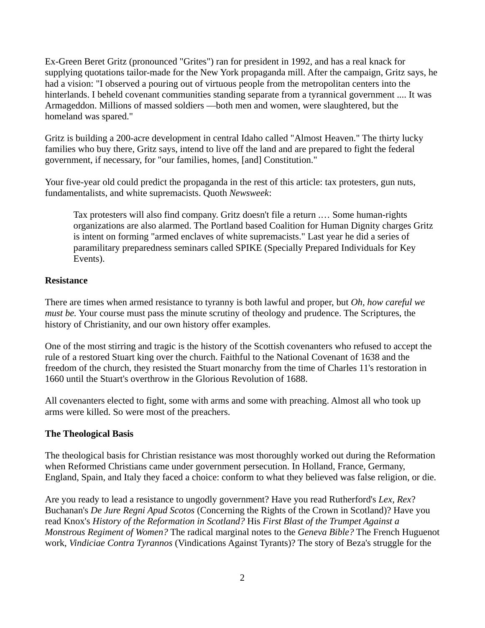Ex-Green Beret Gritz (pronounced "Grites") ran for president in 1992, and has a real knack for supplying quotations tailor-made for the New York propaganda mill. After the campaign, Gritz says, he had a vision: "I observed a pouring out of virtuous people from the metropolitan centers into the hinterlands. I beheld covenant communities standing separate from a tyrannical government .... It was Armageddon. Millions of massed soldiers —both men and women, were slaughtered, but the homeland was spared."

Gritz is building a 200-acre development in central Idaho called "Almost Heaven." The thirty lucky families who buy there, Gritz says, intend to live off the land and are prepared to fight the federal government, if necessary, for "our families, homes, [and] Constitution."

Your five-year old could predict the propaganda in the rest of this article: tax protesters, gun nuts, fundamentalists, and white supremacists. Quoth *Newsweek*:

Tax protesters will also find company. Gritz doesn't file a return .… Some human-rights organizations are also alarmed. The Portland based Coalition for Human Dignity charges Gritz is intent on forming "armed enclaves of white supremacists." Last year he did a series of paramilitary preparedness seminars called SPIKE (Specially Prepared Individuals for Key Events).

## **Resistance**

There are times when armed resistance to tyranny is both lawful and proper, but *Oh, how careful we must be.* Your course must pass the minute scrutiny of theology and prudence. The Scriptures, the history of Christianity, and our own history offer examples.

One of the most stirring and tragic is the history of the Scottish covenanters who refused to accept the rule of a restored Stuart king over the church. Faithful to the National Covenant of 1638 and the freedom of the church, they resisted the Stuart monarchy from the time of Charles 11's restoration in 1660 until the Stuart's overthrow in the Glorious Revolution of 1688.

All covenanters elected to fight, some with arms and some with preaching. Almost all who took up arms were killed. So were most of the preachers.

## **The Theological Basis**

The theological basis for Christian resistance was most thoroughly worked out during the Reformation when Reformed Christians came under government persecution. In Holland, France, Germany, England, Spain, and Italy they faced a choice: conform to what they believed was false religion, or die.

Are you ready to lead a resistance to ungodly government? Have you read Rutherford's *Lex, Rex*? Buchanan's *De Jure Regni Apud Scotos* (Concerning the Rights of the Crown in Scotland)? Have you read Knox's *History of the Reformation in Scotland?* His *First Blast of the Trumpet Against a Monstrous Regiment of Women?* The radical marginal notes to the *Geneva Bible?* The French Huguenot work, *Vindiciae Contra Tyrannos* (Vindications Against Tyrants)? The story of Beza's struggle for the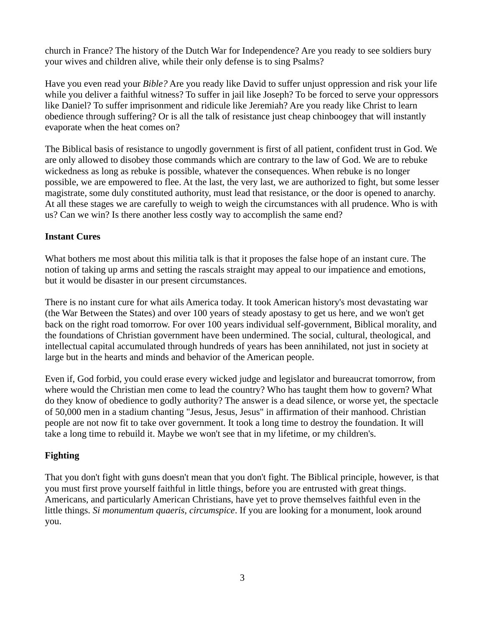church in France? The history of the Dutch War for Independence? Are you ready to see soldiers bury your wives and children alive, while their only defense is to sing Psalms?

Have you even read your *Bible?* Are you ready like David to suffer unjust oppression and risk your life while you deliver a faithful witness? To suffer in jail like Joseph? To be forced to serve your oppressors like Daniel? To suffer imprisonment and ridicule like Jeremiah? Are you ready like Christ to learn obedience through suffering? Or is all the talk of resistance just cheap chinboogey that will instantly evaporate when the heat comes on?

The Biblical basis of resistance to ungodly government is first of all patient, confident trust in God. We are only allowed to disobey those commands which are contrary to the law of God. We are to rebuke wickedness as long as rebuke is possible, whatever the consequences. When rebuke is no longer possible, we are empowered to flee. At the last, the very last, we are authorized to fight, but some lesser magistrate, some duly constituted authority, must lead that resistance, or the door is opened to anarchy. At all these stages we are carefully to weigh to weigh the circumstances with all prudence. Who is with us? Can we win? Is there another less costly way to accomplish the same end?

## **Instant Cures**

What bothers me most about this militia talk is that it proposes the false hope of an instant cure. The notion of taking up arms and setting the rascals straight may appeal to our impatience and emotions, but it would be disaster in our present circumstances.

There is no instant cure for what ails America today. It took American history's most devastating war (the War Between the States) and over 100 years of steady apostasy to get us here, and we won't get back on the right road tomorrow. For over 100 years individual self-government, Biblical morality, and the foundations of Christian government have been undermined. The social, cultural, theological, and intellectual capital accumulated through hundreds of years has been annihilated, not just in society at large but in the hearts and minds and behavior of the American people.

Even if, God forbid, you could erase every wicked judge and legislator and bureaucrat tomorrow, from where would the Christian men come to lead the country? Who has taught them how to govern? What do they know of obedience to godly authority? The answer is a dead silence, or worse yet, the spectacle of 50,000 men in a stadium chanting "Jesus, Jesus, Jesus" in affirmation of their manhood. Christian people are not now fit to take over government. It took a long time to destroy the foundation. It will take a long time to rebuild it. Maybe we won't see that in my lifetime, or my children's.

## **Fighting**

That you don't fight with guns doesn't mean that you don't fight. The Biblical principle, however, is that you must first prove yourself faithful in little things, before you are entrusted with great things. Americans, and particularly American Christians, have yet to prove themselves faithful even in the little things. *Si monumentum quaeris, circumspice*. If you are looking for a monument, look around you.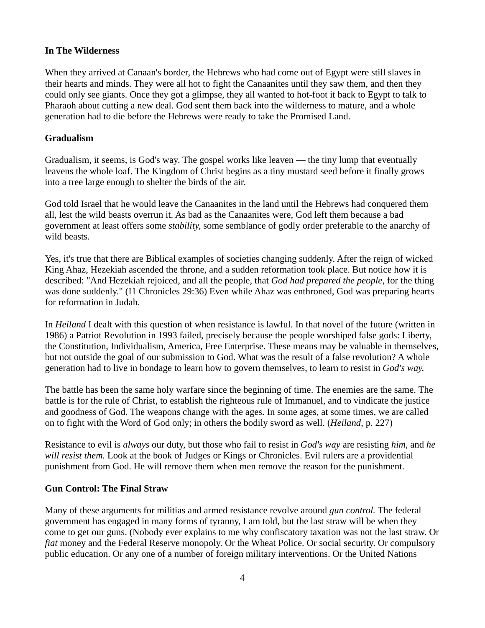#### **In The Wilderness**

When they arrived at Canaan's border, the Hebrews who had come out of Egypt were still slaves in their hearts and minds. They were all hot to fight the Canaanites until they saw them, and then they could only see giants. Once they got a glimpse, they all wanted to hot-foot it back to Egypt to talk to Pharaoh about cutting a new deal. God sent them back into the wilderness to mature, and a whole generation had to die before the Hebrews were ready to take the Promised Land.

#### **Gradualism**

Gradualism, it seems, is God's way. The gospel works like leaven — the tiny lump that eventually leavens the whole loaf. The Kingdom of Christ begins as a tiny mustard seed before it finally grows into a tree large enough to shelter the birds of the air.

God told Israel that he would leave the Canaanites in the land until the Hebrews had conquered them all, lest the wild beasts overrun it. As bad as the Canaanites were, God left them because a bad government at least offers some *stability,* some semblance of godly order preferable to the anarchy of wild beasts.

Yes, it's true that there are Biblical examples of societies changing suddenly. After the reign of wicked King Ahaz, Hezekiah ascended the throne, and a sudden reformation took place. But notice how it is described: "And Hezekiah rejoiced, and all the people, that *God had prepared the people,* for the thing was done suddenly." (I1 Chronicles 29:36) Even while Ahaz was enthroned, God was preparing hearts for reformation in Judah.

In *Heiland* I dealt with this question of when resistance is lawful. In that novel of the future (written in 1986) a Patriot Revolution in 1993 failed, precisely because the people worshiped false gods: Liberty, the Constitution, Individualism, America, Free Enterprise. These means may be valuable in themselves, but not outside the goal of our submission to God. What was the result of a false revolution? A whole generation had to live in bondage to learn how to govern themselves, to learn to resist in *God's way.*

The battle has been the same holy warfare since the beginning of time. The enemies are the same. The battle is for the rule of Christ, to establish the righteous rule of Immanuel, and to vindicate the justice and goodness of God. The weapons change with the ages. In some ages, at some times, we are called on to fight with the Word of God only; in others the bodily sword as well. (*Heiland*, p. 227)

Resistance to evil is *always* our duty, but those who fail to resist in *God's way* are resisting *him*, and *he will resist them.* Look at the book of Judges or Kings or Chronicles. Evil rulers are a providential punishment from God. He will remove them when men remove the reason for the punishment.

#### **Gun Control: The Final Straw**

Many of these arguments for militias and armed resistance revolve around *gun control.* The federal government has engaged in many forms of tyranny, I am told, but the last straw will be when they come to get our guns. (Nobody ever explains to me why confiscatory taxation was not the last straw. Or *fiat* money and the Federal Reserve monopoly. Or the Wheat Police. Or social security. Or compulsory public education. Or any one of a number of foreign military interventions. Or the United Nations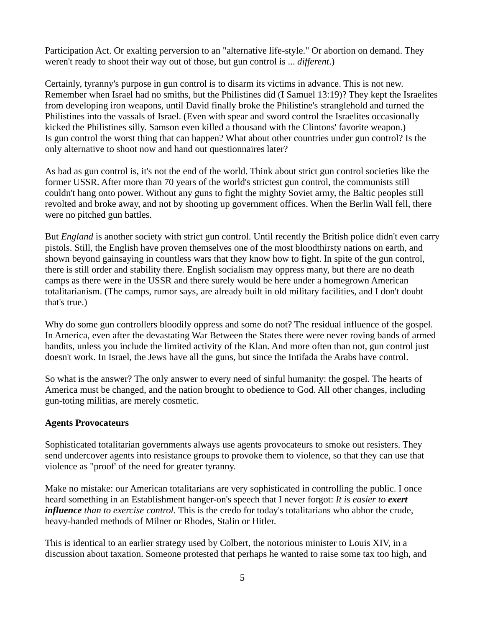Participation Act. Or exalting perversion to an "alternative life-style." Or abortion on demand. They weren't ready to shoot their way out of those, but gun control is ... *different*.)

Certainly, tyranny's purpose in gun control is to disarm its victims in advance. This is not new. Remember when Israel had no smiths, but the Philistines did (I Samuel 13:19)? They kept the Israelites from developing iron weapons, until David finally broke the Philistine's stranglehold and turned the Philistines into the vassals of Israel. (Even with spear and sword control the Israelites occasionally kicked the Philistines silly. Samson even killed a thousand with the Clintons' favorite weapon.) Is gun control the worst thing that can happen? What about other countries under gun control? Is the only alternative to shoot now and hand out questionnaires later?

As bad as gun control is, it's not the end of the world. Think about strict gun control societies like the former USSR. After more than 70 years of the world's strictest gun control, the communists still couldn't hang onto power. Without any guns to fight the mighty Soviet army, the Baltic peoples still revolted and broke away, and not by shooting up government offices. When the Berlin Wall fell, there were no pitched gun battles.

But *England* is another society with strict gun control. Until recently the British police didn't even carry pistols. Still, the English have proven themselves one of the most bloodthirsty nations on earth, and shown beyond gainsaying in countless wars that they know how to fight. In spite of the gun control, there is still order and stability there. English socialism may oppress many, but there are no death camps as there were in the USSR and there surely would be here under a homegrown American totalitarianism. (The camps, rumor says, are already built in old military facilities, and I don't doubt that's true.)

Why do some gun controllers bloodily oppress and some do not? The residual influence of the gospel. In America, even after the devastating War Between the States there were never roving bands of armed bandits, unless you include the limited activity of the Klan. And more often than not, gun control just doesn't work. In Israel, the Jews have all the guns, but since the Intifada the Arabs have control.

So what is the answer? The only answer to every need of sinful humanity: the gospel. The hearts of America must be changed, and the nation brought to obedience to God. All other changes, including gun-toting militias, are merely cosmetic.

#### **Agents Provocateurs**

Sophisticated totalitarian governments always use agents provocateurs to smoke out resisters. They send undercover agents into resistance groups to provoke them to violence, so that they can use that violence as "proof' of the need for greater tyranny.

Make no mistake: our American totalitarians are very sophisticated in controlling the public. I once heard something in an Establishment hanger-on's speech that I never forgot: *It is easier to exert influence than to exercise control.* This is the credo for today's totalitarians who abhor the crude, heavy-handed methods of Milner or Rhodes, Stalin or Hitler.

This is identical to an earlier strategy used by Colbert, the notorious minister to Louis XIV, in a discussion about taxation. Someone protested that perhaps he wanted to raise some tax too high, and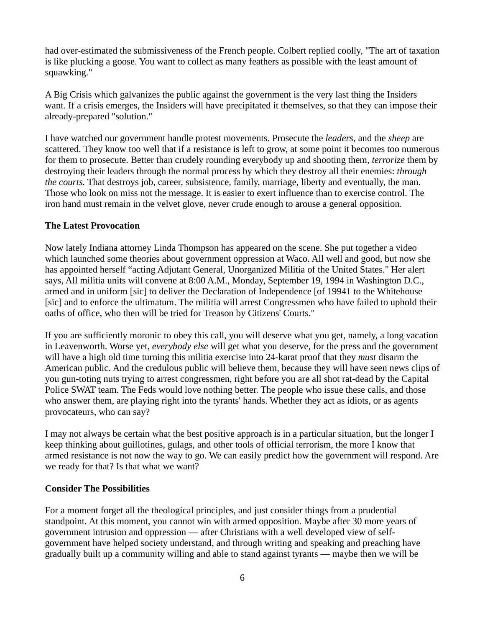had over-estimated the submissiveness of the French people. Colbert replied coolly, "The art of taxation is like plucking a goose. You want to collect as many feathers as possible with the least amount of squawking."

A Big Crisis which galvanizes the public against the government is the very last thing the Insiders want. If a crisis emerges, the Insiders will have precipitated it themselves, so that they can impose their already-prepared "solution."

I have watched our government handle protest movements. Prosecute the *leaders*, and the *sheep* are scattered. They know too well that if a resistance is left to grow, at some point it becomes too numerous for them to prosecute. Better than crudely rounding everybody up and shooting them, *terrorize* them by destroying their leaders through the normal process by which they destroy all their enemies: *through the courts.* That destroys job, career, subsistence, family, marriage, liberty and eventually, the man. Those who look on miss not the message. It is easier to exert influence than to exercise control. The iron hand must remain in the velvet glove, never crude enough to arouse a general opposition.

#### **The Latest Provocation**

Now lately Indiana attorney Linda Thompson has appeared on the scene. She put together a video which launched some theories about government oppression at Waco. All well and good, but now she has appointed herself "acting Adjutant General, Unorganized Militia of the United States." Her alert says, All militia units will convene at 8:00 A.M., Monday, September 19, 1994 in Washington D.C., armed and in uniform [sic] to deliver the Declaration of Independence [of 19941 to the Whitehouse [sic] and to enforce the ultimatum. The militia will arrest Congressmen who have failed to uphold their oaths of office, who then will be tried for Treason by Citizens' Courts."

If you are sufficiently moronic to obey this call, you will deserve what you get, namely, a long vacation in Leavenworth. Worse yet, *everybody else* will get what you deserve, for the press and the government will have a high old time turning this militia exercise into 24-karat proof that they *must* disarm the American public. And the credulous public will believe them, because they will have seen news clips of you gun-toting nuts trying to arrest congressmen, right before you are all shot rat-dead by the Capital Police SWAT team. The Feds would love nothing better. The people who issue these calls, and those who answer them, are playing right into the tyrants' hands. Whether they act as idiots, or as agents provocateurs, who can say?

I may not always be certain what the best positive approach is in a particular situation, but the longer I keep thinking about guillotines, gulags, and other tools of official terrorism, the more I know that armed resistance is not now the way to go. We can easily predict how the government will respond. Are we ready for that? Is that what we want?

#### **Consider The Possibilities**

For a moment forget all the theological principles, and just consider things from a prudential standpoint. At this moment, you cannot win with armed opposition. Maybe after 30 more years of government intrusion and oppression — after Christians with a well developed view of selfgovernment have helped society understand, and through writing and speaking and preaching have gradually built up a community willing and able to stand against tyrants — maybe then we will be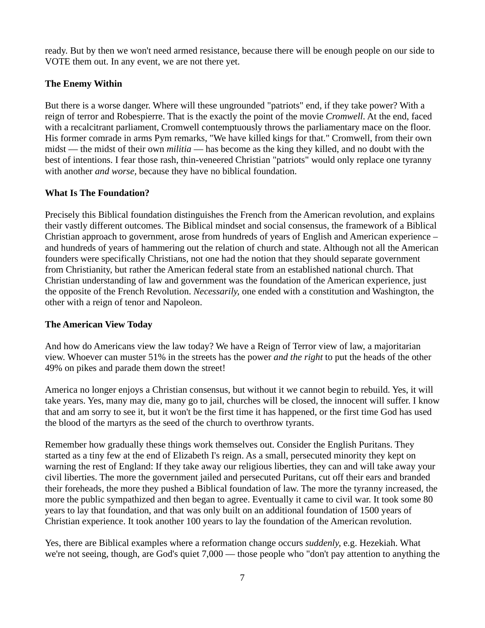ready. But by then we won't need armed resistance, because there will be enough people on our side to VOTE them out. In any event, we are not there yet.

## **The Enemy Within**

But there is a worse danger. Where will these ungrounded "patriots" end, if they take power? With a reign of terror and Robespierre. That is the exactly the point of the movie *Cromwell*. At the end, faced with a recalcitrant parliament, Cromwell contemptuously throws the parliamentary mace on the floor. His former comrade in arms Pym remarks, "We have killed kings for that." Cromwell, from their own midst — the midst of their own *militia* — has become as the king they killed, and no doubt with the best of intentions. I fear those rash, thin-veneered Christian "patriots" would only replace one tyranny with another *and worse,* because they have no biblical foundation.

## **What Is The Foundation?**

Precisely this Biblical foundation distinguishes the French from the American revolution, and explains their vastly different outcomes. The Biblical mindset and social consensus, the framework of a Biblical Christian approach to government, arose from hundreds of years of English and American experience – and hundreds of years of hammering out the relation of church and state. Although not all the American founders were specifically Christians, not one had the notion that they should separate government from Christianity, but rather the American federal state from an established national church. That Christian understanding of law and government was the foundation of the American experience, just the opposite of the French Revolution. *Necessarily,* one ended with a constitution and Washington, the other with a reign of tenor and Napoleon.

## **The American View Today**

And how do Americans view the law today? We have a Reign of Terror view of law, a majoritarian view. Whoever can muster 51% in the streets has the power *and the right* to put the heads of the other 49% on pikes and parade them down the street!

America no longer enjoys a Christian consensus, but without it we cannot begin to rebuild. Yes, it will take years. Yes, many may die, many go to jail, churches will be closed, the innocent will suffer. I know that and am sorry to see it, but it won't be the first time it has happened, or the first time God has used the blood of the martyrs as the seed of the church to overthrow tyrants.

Remember how gradually these things work themselves out. Consider the English Puritans. They started as a tiny few at the end of Elizabeth I's reign. As a small, persecuted minority they kept on warning the rest of England: If they take away our religious liberties, they can and will take away your civil liberties. The more the government jailed and persecuted Puritans, cut off their ears and branded their foreheads, the more they pushed a Biblical foundation of law. The more the tyranny increased, the more the public sympathized and then began to agree. Eventually it came to civil war. It took some 80 years to lay that foundation, and that was only built on an additional foundation of 1500 years of Christian experience. It took another 100 years to lay the foundation of the American revolution.

Yes, there are Biblical examples where a reformation change occurs *suddenly,* e.g. Hezekiah. What we're not seeing, though, are God's quiet 7,000 — those people who "don't pay attention to anything the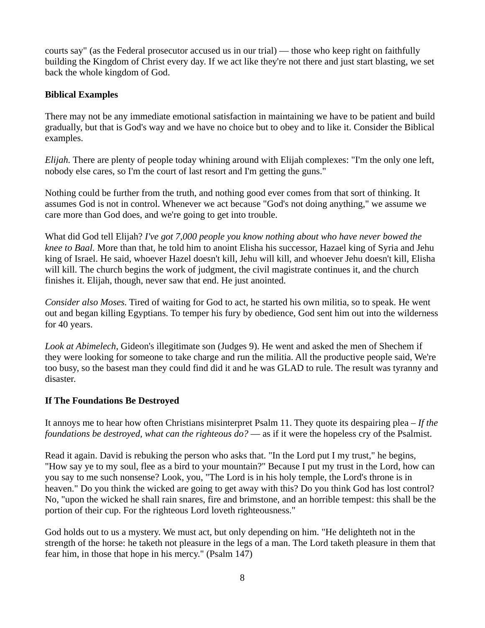courts say" (as the Federal prosecutor accused us in our trial) — those who keep right on faithfully building the Kingdom of Christ every day. If we act like they're not there and just start blasting, we set back the whole kingdom of God.

## **Biblical Examples**

There may not be any immediate emotional satisfaction in maintaining we have to be patient and build gradually, but that is God's way and we have no choice but to obey and to like it. Consider the Biblical examples.

*Elijah.* There are plenty of people today whining around with Elijah complexes: "I'm the only one left, nobody else cares, so I'm the court of last resort and I'm getting the guns."

Nothing could be further from the truth, and nothing good ever comes from that sort of thinking. It assumes God is not in control. Whenever we act because "God's not doing anything," we assume we care more than God does, and we're going to get into trouble.

What did God tell Elijah? *I've got 7,000 people you know nothing about who have never bowed the knee to Baal.* More than that, he told him to anoint Elisha his successor, Hazael king of Syria and Jehu king of Israel. He said, whoever Hazel doesn't kill, Jehu will kill, and whoever Jehu doesn't kill, Elisha will kill. The church begins the work of judgment, the civil magistrate continues it, and the church finishes it. Elijah, though, never saw that end. He just anointed.

*Consider also Moses.* Tired of waiting for God to act, he started his own militia, so to speak. He went out and began killing Egyptians. To temper his fury by obedience, God sent him out into the wilderness for 40 years.

*Look at Abimelech*, Gideon's illegitimate son (Judges 9). He went and asked the men of Shechem if they were looking for someone to take charge and run the militia. All the productive people said, We're too busy, so the basest man they could find did it and he was GLAD to rule. The result was tyranny and disaster.

#### **If The Foundations Be Destroyed**

It annoys me to hear how often Christians misinterpret Psalm 11. They quote its despairing plea – *If the foundations be destroyed, what can the righteous do?* — as if it were the hopeless cry of the Psalmist.

Read it again. David is rebuking the person who asks that. "In the Lord put I my trust," he begins, "How say ye to my soul, flee as a bird to your mountain?" Because I put my trust in the Lord, how can you say to me such nonsense? Look, you, "The Lord is in his holy temple, the Lord's throne is in heaven." Do you think the wicked are going to get away with this? Do you think God has lost control? No, "upon the wicked he shall rain snares, fire and brimstone, and an horrible tempest: this shall be the portion of their cup. For the righteous Lord loveth righteousness."

God holds out to us a mystery. We must act, but only depending on him. "He delighteth not in the strength of the horse: he taketh not pleasure in the legs of a man. The Lord taketh pleasure in them that fear him, in those that hope in his mercy." (Psalm 147)